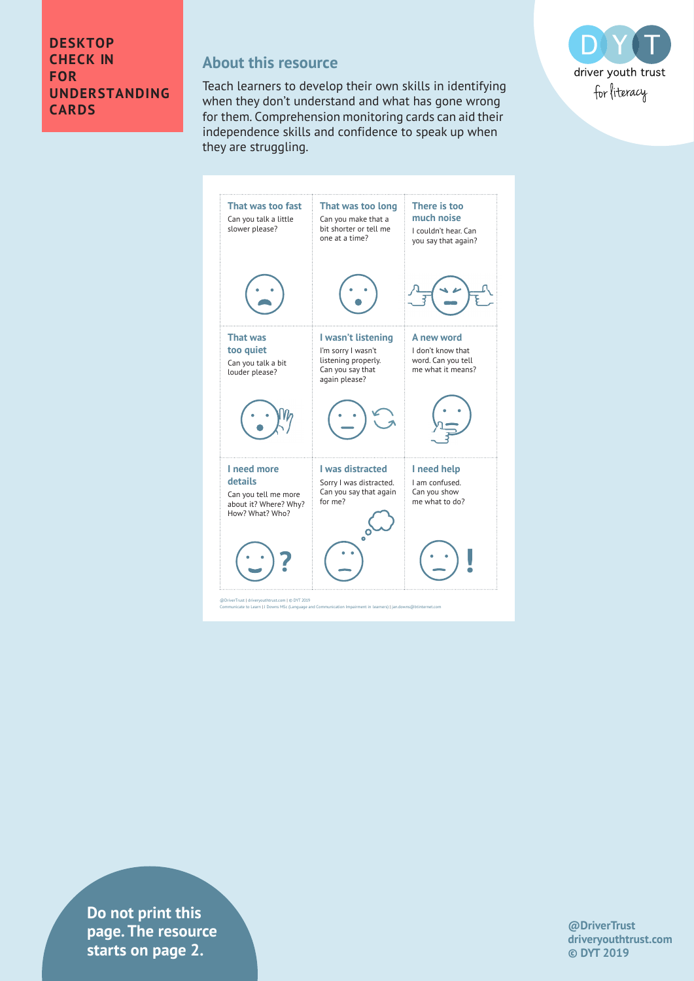#### **DESKTOP CHECK IN FOR UNDERSTANDING CARDS**

#### **About this resource**

Teach learners to develop their own skills in identifying when they don't understand and what has gone wrong for them. Comprehension monitoring cards can aid their independence skills and confidence to speak up when they are struggling.



**Priver is a griver page. The resource**  $\blacksquare$ **Communicate to Learn Impairment in learn Impairment in learners) | jan.downs MSC (Language and Communication Impairment in learners) | jan.downstarts on learners) | jan.downs. In learners, and Impairment in learners in le Do not print this** 

**@DriverTrust driveryouthtrust.com © DYT 2019**